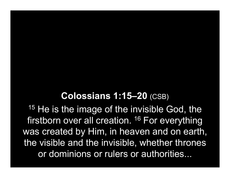### Colossians 1:15–20 (CSB)

<sup>15</sup> He is the image of the invisible God, the firstborn over all creation. <sup>16</sup> For everything was created by Him, in heaven and on earth, the visible and the invisible, whether thrones or dominions or rulers or authorities...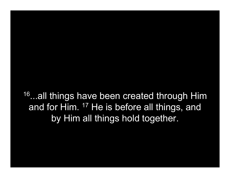<sup>16</sup>...all things have been created through Him and for Him. <sup>17</sup> He is before all things, and by Him all things hold together.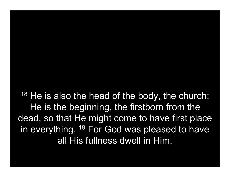<sup>18</sup> He is also the head of the body, the church; He is the beginning, the firstborn from the dead, so that He might come to have first place in everything. <sup>19</sup> For God was pleased to have all His fullness dwell in Him,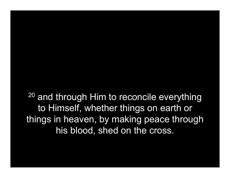<sup>20</sup> and through Him to reconcile everything to Himself, whether things on earth or things in heaven, by making peace through his blood, shed on the cross.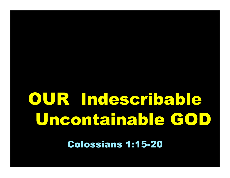# OUR Indescribable Uncontainable GOD

Colossians 1:15-20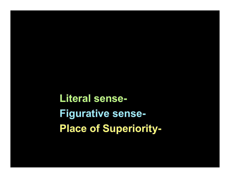Literal sense-Figurative sense-Place of Superiority-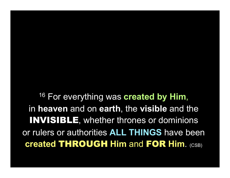<sup>16</sup> For everything was created by Him, in heaven and on earth, the visible and the INVISIBLE, whether thrones or dominions or rulers or authorities ALL THINGS have been created THROUGH Him and FOR Him. (CSB)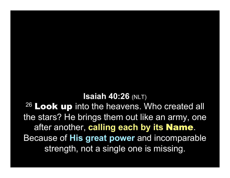Isaiah 40:26 (NLT)

<sup>26</sup> Look up into the heavens. Who created all the stars? He brings them out like an army, one after another, calling each by its Name. Because of His great power and incomparable strength, not a single one is missing.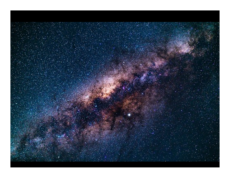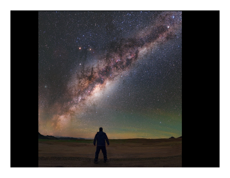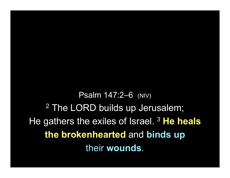Psalm 147:2–6 (NIV) <sup>2</sup> The LORD builds up Jerusalem; He gathers the exiles of Israel.<sup>3</sup> He heals the brokenhearted and binds up their wounds.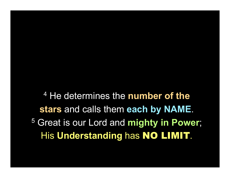<sup>4</sup> He determines the number of the stars and calls them each by NAME. <sup>5</sup> Great is our Lord and mighty in Power; His Understanding has NO LIMIT.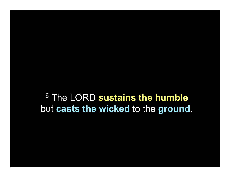<sup>6</sup> The LORD sustains the humble but casts the wicked to the ground.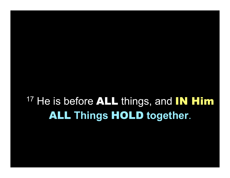# <sup>17</sup> He is before ALL things, and IN Him ALL Things HOLD together.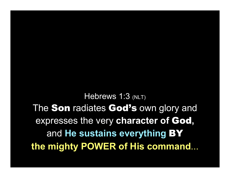Hebrews 1:3 (NLT) The Son radiates God's own glory and expresses the very character of God, and He sustains everything BY the mighty POWER of His command...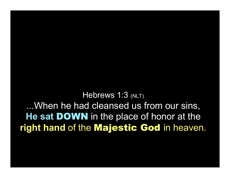Hebrews 1:3 (NLT) ...When he had cleansed us from our sins, He sat DOWN in the place of honor at the right hand of the Majestic God in heaven.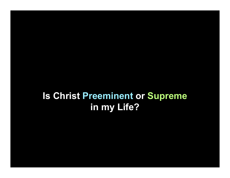## Is Christ Preeminent or Supreme in my Life?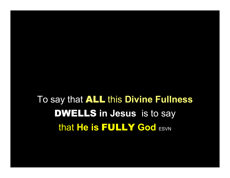To say that ALL this Divine Fullness DWELLS in Jesus is to say that He is FULLY God ESVN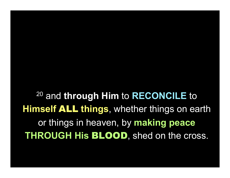<sup>20</sup> and through Him to RECONCILE to **Himself ALL things, whether things on earth** or things in heaven, by making peace **THROUGH His BLOOD, shed on the cross.**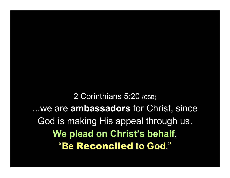2 Corinthians 5:20 (CSB) ...we are ambassadors for Christ, since God is making His appeal through us. We plead on Christ's behalf, "Be Reconciled to God."